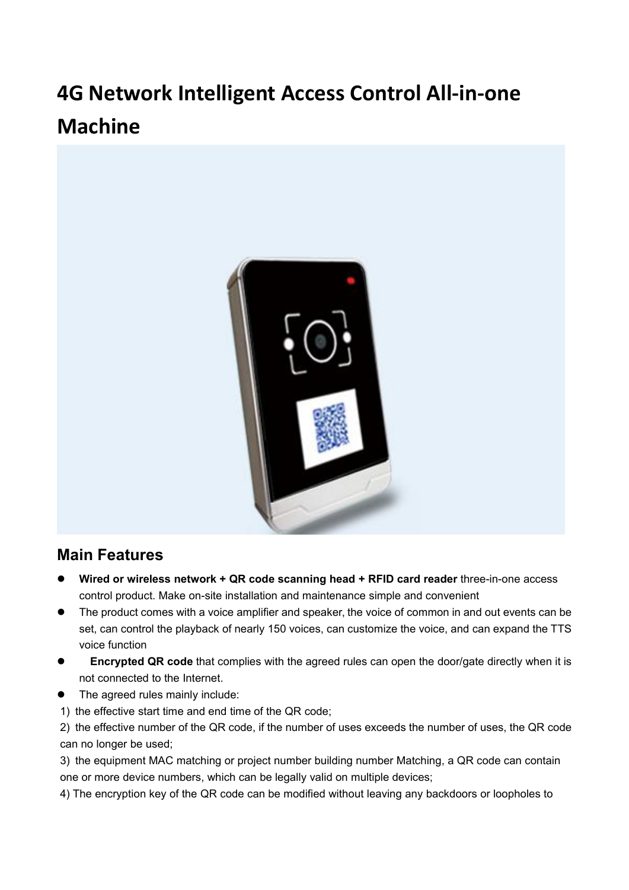# **4G Network Intelligent Access Control All-in-one Machine**



### **Main Features**

- **Wired or wireless network + QR code scanning head + RFID card reader** three-in-one access control product. Make on-site installation and maintenance simple and convenient
- The product comes with a voice amplifier and speaker, the voice of common in and out events can be set, can control the playback of nearly 150 voices, can customize the voice, and can expand the TTS voice function
- **Encrypted QR code** that complies with the agreed rules can open the door/gate directly when it is not connected to the Internet.
- The agreed rules mainly include:
- 1) the effective start time and end time of the QR code;

2) the effective number of the QR code, if the number of uses exceeds the number of uses, the QR code can no longer be used;

3) the equipment MAC matching or project number building number Matching, a QR code can contain one or more device numbers, which can be legally valid on multiple devices;

4) The encryption key of the QR code can be modified without leaving any backdoors or loopholes to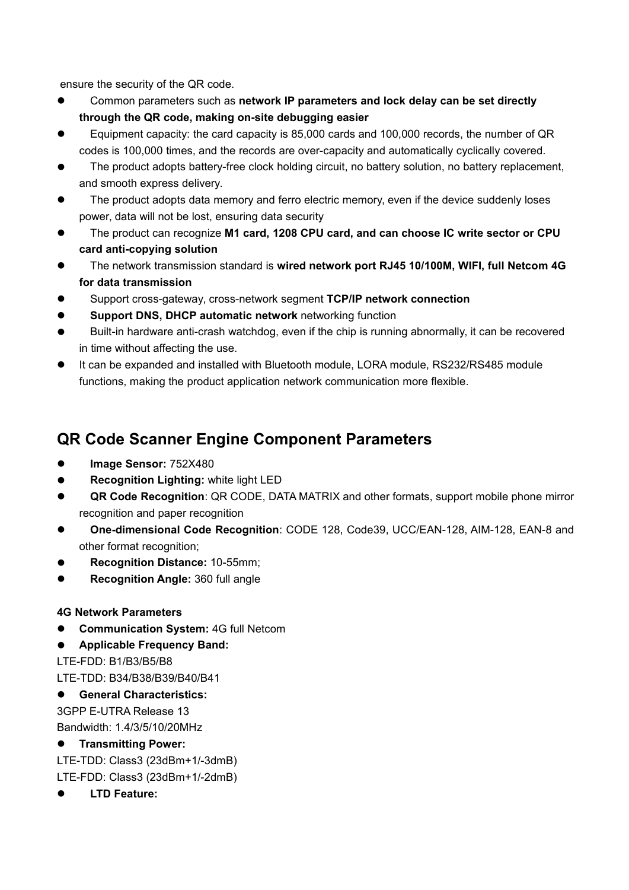ensure the security of the QR code.

- Common parameters such as **network IP parameters and lock delay can be set directly through the QR code, making on-site debugging easier**
- Equipment capacity: the card capacity is 85,000 cards and 100,000 records, the number ofQR codes is 100,000 times, and the records are over-capacity and automatically cyclically covered.
- The product adopts battery-free clock holding circuit, no battery solution, no battery replacement, and smooth express delivery.
- The product adopts data memory and ferro electric memory, even if the device suddenly loses power, data will not be lost, ensuring data security
- The product can recognize **M1 card, 1208 CPU card, and can choose IC write sector or CPU card anti-copying solution**
- The network transmission standard is**wired network port RJ45 10/100M, WIFI, full Netcom 4G for data transmission**
- Support cross-gateway, cross-network segment **TCP/IP network connection**
- **Support DNS, DHCP automatic network** networking function
- Built-in hardware anti-crash watchdog, even if the chip is running abnormally, it can be recovered in time without affecting the use.
- It can be expanded and installed with Bluetooth module, LORA module, RS232/RS485 module functions, making the product application network communication more flexible.

## **QR Code Scanner Engine Component Parameters**

- **Image Sensor:** 752X480
- **Recognition Lighting:** white light LED
- **QR Code Recognition**: QR CODE, DATA MATRIX and other formats, support mobile phone mirror recognition and paper recognition
- **One-dimensional Code Recognition**: CODE 128, Code39, UCC/EAN-128, AIM-128, EAN-8 and other format recognition;
- **Recognition Distance:** 10-55mm;
- **Recognition Angle:** 360 full angle

#### **4G Network Parameters**

- **Communication System: 4G full Netcom**
- **Applicable Frequency Band:**

LTE-FDD: B1/B3/B5/B8

LTE-TDD: B34/B38/B39/B40/B41

**General Characteristics:**

3GPP E-UTRA Release 13 Bandwidth: 1.4/3/5/10/20MHz

#### **Transmitting Power:**

LTE-TDD: Class3 (23dBm+1/-3dmB)

LTE-FDD: Class3 (23dBm+1/-2dmB)

**LTD Feature:**